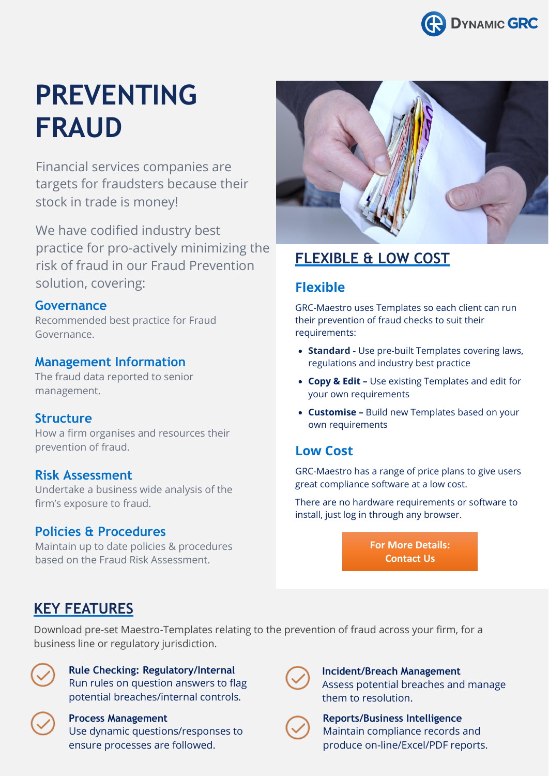

# **PREVENTING FRAUD**

Financial services companies are targets for fraudsters because their stock in trade is money!

We have codified industry best practice for pro-actively minimizing the risk of fraud in our Fraud Prevention solution, covering:

#### **Governance**

Recommended best practice for Fraud Governance.

#### **Management Information**

The fraud data reported to senior management.

#### **Structure**

How a firm organises and resources their prevention of fraud.

#### **Risk Assessment**

Undertake a business wide analysis of the firm's exposure to fraud.

### **Policies & Procedures**

Maintain up to date policies & procedures based on the Fraud Risk Assessment.



# **FLEXIBLE & LOW COST**

## **Flexible**

GRC-Maestro uses Templates so each client can run their prevention of fraud checks to suit their requirements:

- **Standard -** Use pre-built Templates covering laws, regulations and industry best practice
- **Copy & Edit –** Use existing Templates and edit for your own requirements
- **Customise –** Build new Templates based on your own requirements

## **Low Cost**

GRC-Maestro has a range of price plans to give users great compliance software at a low cost.

There are no hardware requirements or software to install, just log in through any browser.

> **For More Details: Contact Us**

# **KEY FEATURES**

Download pre-set Maestro-Templates relating to the prevention of fraud across your firm, for a business line or regulatory jurisdiction.



## **Rule Checking: Regulatory/Internal** Run rules on question answers to flag

potential breaches/internal controls.



#### **Process Management**

Use dynamic questions/responses to ensure processes are followed.



**Incident/Breach Management** Assess potential breaches and manage them to resolution.



**Reports/Business Intelligence** Maintain compliance records and produce on-line/Excel/PDF reports.